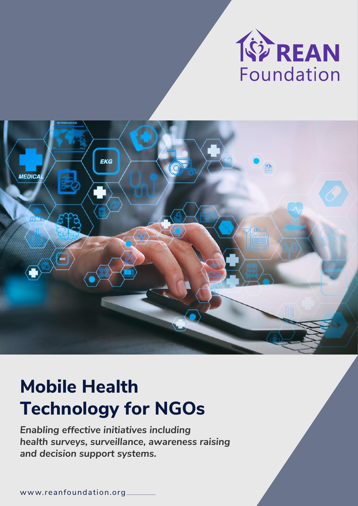



# **Mobile Health Technology for NGOs**

*Enabling effective initiatives including health surveys, surveillance, awareness raising and decision support systems.*

w ww.reanfoundation.org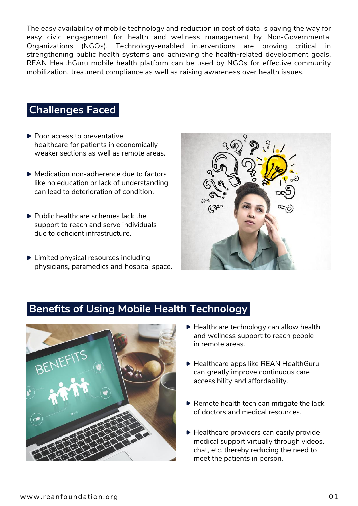The easy availability of mobile technology and reduction in cost of data is paving the way for easy civic engagement for health and wellness management by Non-Governmental Organizations (NGOs). Technology-enabled interventions are proving critical in strengthening public health systems and achieving the health-related development goals. REAN HealthGuru mobile health platform can be used by NGOs for effective community mobilization, treatment compliance as well as raising awareness over health issues.

## **Challenges Faced**

- ▶ Poor access to preventative healthcare for patients in economically weaker sections as well as remote areas.
- ▶ Medication non-adherence due to factors like no education or lack of understanding can lead to deterioration of condition.
- $\blacktriangleright$  Public healthcare schemes lack the support to reach and serve individuals due to deficient infrastructure.
- ▶ Limited physical resources including physicians, paramedics and hospital space.



# **Benefits of Using Mobile Health Technology**



- ▶ Healthcare technology can allow health and wellness support to reach people in remote areas.
- ▶ Healthcare apps like REAN HealthGuru can greatly improve continuous care accessibility and affordability.
- $\blacktriangleright$  Remote health tech can mitigate the lack of doctors and medical resources.
- ▶ Healthcare providers can easily provide medical support virtually through videos, chat, etc. thereby reducing the need to meet the patients in person.